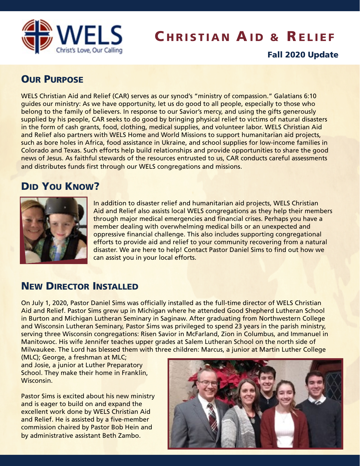

# **CHRISTIAN AID & RELIEF**

#### Fall 2020 Update

### **OUR PURPOSE**

WELS Christian Aid and Relief (CAR) serves as our synod's "ministry of compassion." Galatians 6:10 guides our ministry: As we have opportunity, let us do good to all people, especially to those who belong to the family of believers. In response to our Savior's mercy, and using the gifts generously supplied by his people, CAR seeks to do good by bringing physical relief to victims of natural disasters in the form of cash grants, food, clothing, medical supplies, and volunteer labor. WELS Christian Aid and Relief also partners with WELS Home and World Missions to support humanitarian aid projects, such as bore holes in Africa, food assistance in Ukraine, and school supplies for low-income families in Colorado and Texas. Such efforts help build relationships and provide opportunities to share the good news of Jesus. As faithful stewards of the resources entrusted to us, CAR conducts careful assessments and distributes funds first through our WELS congregations and missions.

## DID YOU KNOW?



In addition to disaster relief and humanitarian aid projects, WELS Christian Aid and Relief also assists local WELS congregations as they help their members through major medical emergencies and financial crises. Perhaps you have a member dealing with overwhelming medical bills or an unexpected and oppressive financial challenge. This also includes supporting congregational efforts to provide aid and relief to your community recovering from a natural disaster. We are here to help! Contact Pastor Daniel Sims to find out how we can assist you in your local efforts.

#### NEW DIRECTOR INSTALLED

On July 1, 2020, Pastor Daniel Sims was officially installed as the full-time director of WELS Christian Aid and Relief. Pastor Sims grew up in Michigan where he attended Good Shepherd Lutheran School in Burton and Michigan Lutheran Seminary in Saginaw. After graduating from Northwestern College and Wisconsin Lutheran Seminary, Pastor Sims was privileged to spend 23 years in the parish ministry, serving three Wisconsin congregations: Risen Savior in McFarland, Zion in Columbus, and Immanuel in Manitowoc. His wife Jennifer teaches upper grades at Salem Lutheran School on the north side of Milwaukee. The Lord has blessed them with three children: Marcus, a junior at Martin Luther College

(MLC); George, a freshman at MLC; and Josie, a junior at Luther Preparatory School. They make their home in Franklin, Wisconsin.

Pastor Sims is excited about his new ministry and is eager to build on and expand the excellent work done by WELS Christian Aid and Relief. He is assisted by a five-member commission chaired by Pastor Bob Hein and by administrative assistant Beth Zambo.